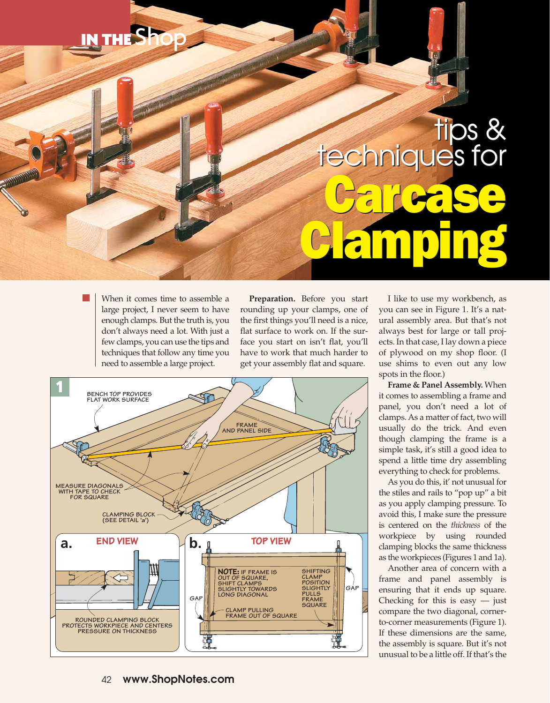## IN THE Shop

## tips &<br>techniques for Care Se Clamping Care Se Clamping

When it comes time to assemble a large project, I never seem to have enough clamps. But the truth is, you don't always need a lot. With just a few clamps, you can use the tips and techniques that follow any time you need to assemble a large project.

**Preparation.** Before you start rounding up your clamps, one of the first things you'll need is a nice, flat surface to work on. If the surface you start on isn't flat, you'll have to work that much harder to get your assembly flat and square.



I like to use my workbench, as you can see in Figure 1. It's a natural assembly area. But that's not always best for large or tall projects. In that case, I lay down a piece of plywood on my shop floor. (I use shims to even out any low spots in the floor.)

**Frame & Panel Assembly.** When it comes to assembling a frame and panel, you don't need a lot of clamps. As a matter of fact, two will usually do the trick. And even though clamping the frame is a simple task, it's still a good idea to spend a little time dry assembling everything to check for problems.

As you do this, it' not unusual for the stiles and rails to "pop up" a bit as you apply clamping pressure. To avoid this, I make sure the pressure is centered on the *thickness* of the workpiece by using rounded clamping blocks the same thickness as the workpieces (Figures 1 and 1a).

Another area of concern with a frame and panel assembly is ensuring that it ends up square. Checking for this is easy  $-$  just compare the two diagonal, cornerto-corner measurements (Figure 1). If these dimensions are the same, the assembly is square. But it's not unusual to be a little off. If that's the